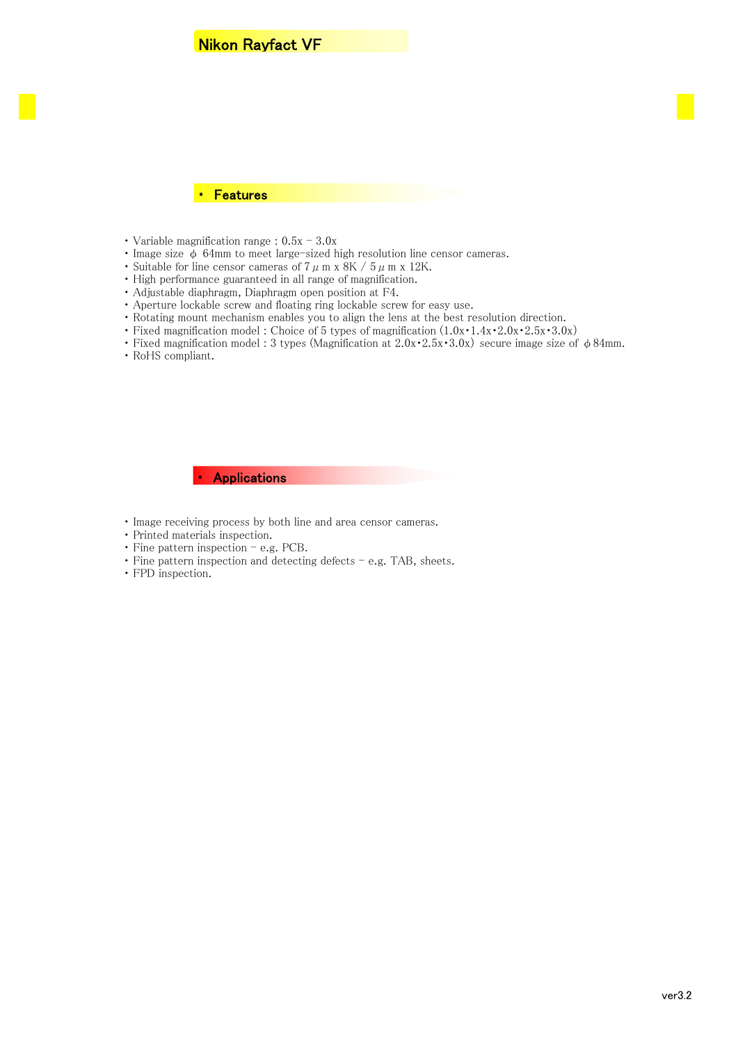

- Variable magnification range :  $0.5x 3.0x$
- ・ Image size φ 64mm to meet large-sized high resolution line censor cameras.
- Suitable for line censor cameras of  $7 \mu$  m x 8K /  $5 \mu$  m x 12K.
- ・ High performance guaranteed in all range of magnification.
- ・ Adjustable diaphragm, Diaphragm open position at F4.
- ・ Aperture lockable screw and floating ring lockable screw for easy use.
- ・ Rotating mount mechanism enables you to align the lens at the best resolution direction.
- Fixed magnification model : Choice of 5 types of magnification  $(1.0x \cdot 1.4x \cdot 2.0x \cdot 2.5x \cdot 3.0x)$
- Fixed magnification model : 3 types (Magnification at  $2.0x \cdot 2.5x \cdot 3.0x$ ) secure image size of  $\phi$  84mm.
- ・ RoHS compliant.

・ Applications

- ・ Image receiving process by both line and area censor cameras.
- ・ Printed materials inspection.
- ・ Fine pattern inspection e.g. PCB.
- Fine pattern inspection and detecting defects e.g. TAB, sheets.
- ・ FPD inspection.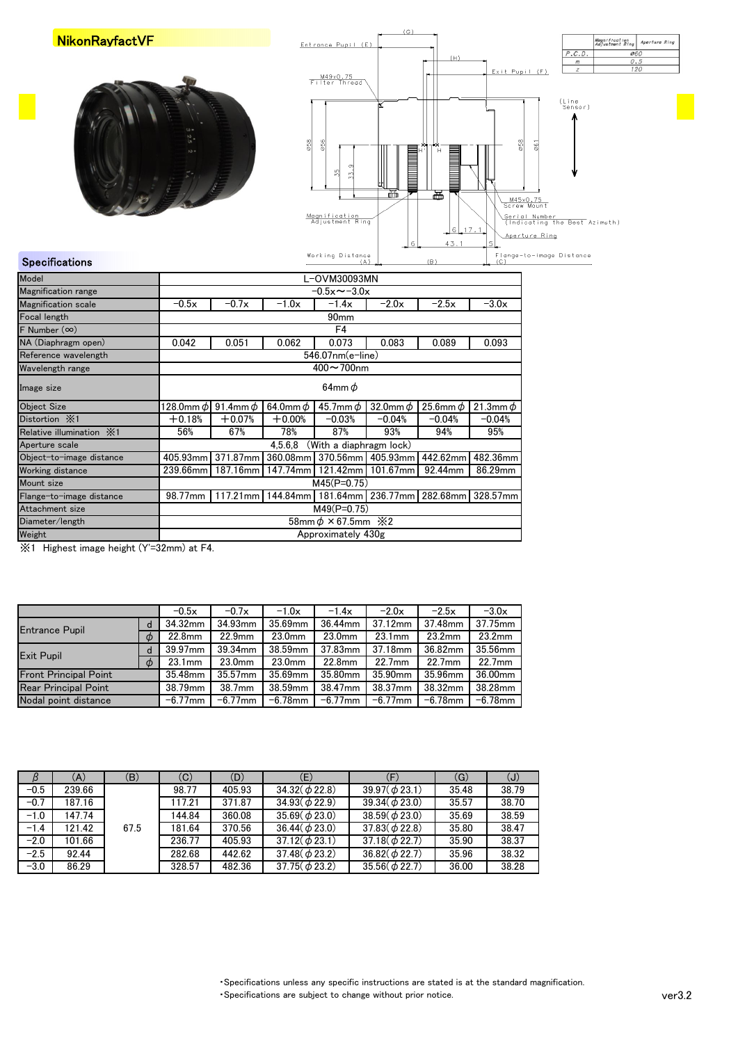### NikonRayfactVF





### **Specifications**

| Model                      | L-OVM30093MN                                   |                |                  |                         |                  |               |               |
|----------------------------|------------------------------------------------|----------------|------------------|-------------------------|------------------|---------------|---------------|
| <b>Magnification range</b> | $-0.5x \sim -3.0x$                             |                |                  |                         |                  |               |               |
| <b>Magnification scale</b> | $-0.5x$                                        | $-0.7x$        | $-1.0x$          | $-1.4x$                 | $-2.0x$          | $-2.5x$       | $-3.0x$       |
| Focal length               |                                                |                |                  | 90 <sub>mm</sub>        |                  |               |               |
| $F$ Number $(\infty)$      |                                                | F4             |                  |                         |                  |               |               |
| NA (Diaphragm open)        | 0.042                                          | 0.051          | 0.062            | 0.073                   | 0.083            | 0.089         | 0.093         |
| Reference wavelength       |                                                |                |                  | $546.07$ nm $(e$ -line) |                  |               |               |
| Wavelength range           |                                                | $400 - 700$ nm |                  |                         |                  |               |               |
| Image size                 | $64$ mm $\phi$                                 |                |                  |                         |                  |               |               |
| <b>Object Size</b>         | $128.0$ mm $\phi$                              | 91.4mm $\phi$  | $64.0$ mm $\phi$ | $45.7$ mm $\phi$        | $32.0$ mm $\phi$ | 25.6mm $\phi$ | 21.3mm $\phi$ |
| Distortion X1              | $+0.18%$                                       | $+0.07%$       | $+0.00%$         | $-0.03%$                | $-0.04%$         | $-0.04%$      | $-0.04%$      |
| Relative illumination X1   | 56%                                            | 67%            | 78%              | 87%                     | 93%              | 94%           | 95%           |
| Aperture scale             | (With a diaphragm lock)<br>4.5.6.8             |                |                  |                         |                  |               |               |
| Object-to-image distance   | 405.93mm                                       | 371.87mm       |                  | 360.08mm 370.56mm       | 405.93mm         | 442.62mm      | 482.36mm      |
| Working distance           | 239.66mm                                       | 187.16mm       | 147.74mm         | 121.42mm                | 101.67mm         | 92.44mm       | 86.29mm       |
| Mount size                 | $M45(P=0.75)$                                  |                |                  |                         |                  |               |               |
| Flange-to-image distance   | 98.77mm                                        | 117.21mm       | 144.84mm         | 181.64mm                | 236.77mm         | 282.68mm      | 328.57mm      |
| Attachment size            | $M49(P=0.75)$                                  |                |                  |                         |                  |               |               |
| Diameter/length            | $58$ mm $\phi \times 67.5$ mm $\cdot \times 2$ |                |                  |                         |                  |               |               |
| Weight                     | Approximately 430g                             |                |                  |                         |                  |               |               |

※1 Highest image height (Y'=32mm) at F4.

|                       |        | $-0.5x$            | $-0.7x$            | $-1.0x$            | $-1.4x$            | $-2.0x$    | $-2.5x$            | $-3.0x$    |
|-----------------------|--------|--------------------|--------------------|--------------------|--------------------|------------|--------------------|------------|
|                       | d      | 34.32mm            | 34.93mm            | 35.69mm            | 36.44mm            | 37.12mm    | 37.48mm            | 37.75mm    |
| Entrance Pupil        | $\phi$ | $22.8$ mm          | $22.9$ mm          | 23.0 <sub>mm</sub> | 23.0 <sub>mm</sub> | $23.1$ mm  | 23.2mm             | 23.2mm     |
| <b>Exit Pupil</b>     | d      | 39.97mm            | 39.34mm            | 38.59mm            | 37.83mm            | 37.18mm    | 36.82mm            | 35.56mm    |
|                       |        | 23.1 <sub>mm</sub> | 23.0 <sub>mm</sub> | 23.0 <sub>mm</sub> | 22.8mm             | 22.7mm     | 22.7 <sub>mm</sub> | 22.7mm     |
| Front Principal Point |        | 35.48mm            | 35.57mm            | 35.69mm            | 35.80mm            | 35.90mm    | 35.96mm            | 36.00mm    |
| Rear Principal Point  |        | 38.79mm            | 38.7mm             | 38.59mm            | 38.47mm            | 38.37mm    | 38.32mm            | 38.28mm    |
| Nodal point distance  |        | $-6.77$ mm         | $-6.77$ mm         | $-6.78$ mm         | $-6.77$ mm         | $-6.77$ mm | −6.78mm            | $-6.78$ mm |

| 15     | (A)    | (B)  | (C)    | (D)    | (E)                              | (F)                | (G)   | $\mathcal{L}$ |
|--------|--------|------|--------|--------|----------------------------------|--------------------|-------|---------------|
| $-0.5$ | 239.66 |      | 98.77  | 405.93 | $34.32(\phi 22.8)$               | $39.97(\phi 23.1)$ | 35.48 | 38.79         |
| $-0.7$ | 187.16 |      | 117.21 | 371.87 | $34.93(\phi 22.9)$               | $39.34(\phi 23.0)$ | 35.57 | 38.70         |
| $-1.0$ | 147.74 |      | 144.84 | 360.08 | $35.69 \ (\phi 23.0)$            | $38.59(\phi 23.0)$ | 35.69 | 38.59         |
| $-1.4$ | 121.42 | 67.5 | 181.64 | 370.56 | $36.44 \left( \phi 23.0 \right)$ | $37.83(\phi 22.8)$ | 35.80 | 38.47         |
| $-2.0$ | 101.66 |      | 236.77 | 405.93 | $37.12(\phi 23.1)$               | $37.18(\phi 22.7)$ | 35.90 | 38.37         |
| $-2.5$ | 92.44  |      | 282.68 | 442.62 | $37.48(\phi 23.2)$               | $36.82(\phi 22.7)$ | 35.96 | 38.32         |
| $-3.0$ | 86.29  |      | 328.57 | 482.36 | $37.75(\phi 23.2)$               | $35.56(\phi 22.7)$ | 36.00 | 38.28         |

・Specifications unless any specific instructions are stated is at the standard magnification.

・Specifications are subject to change without prior notice. ver3.2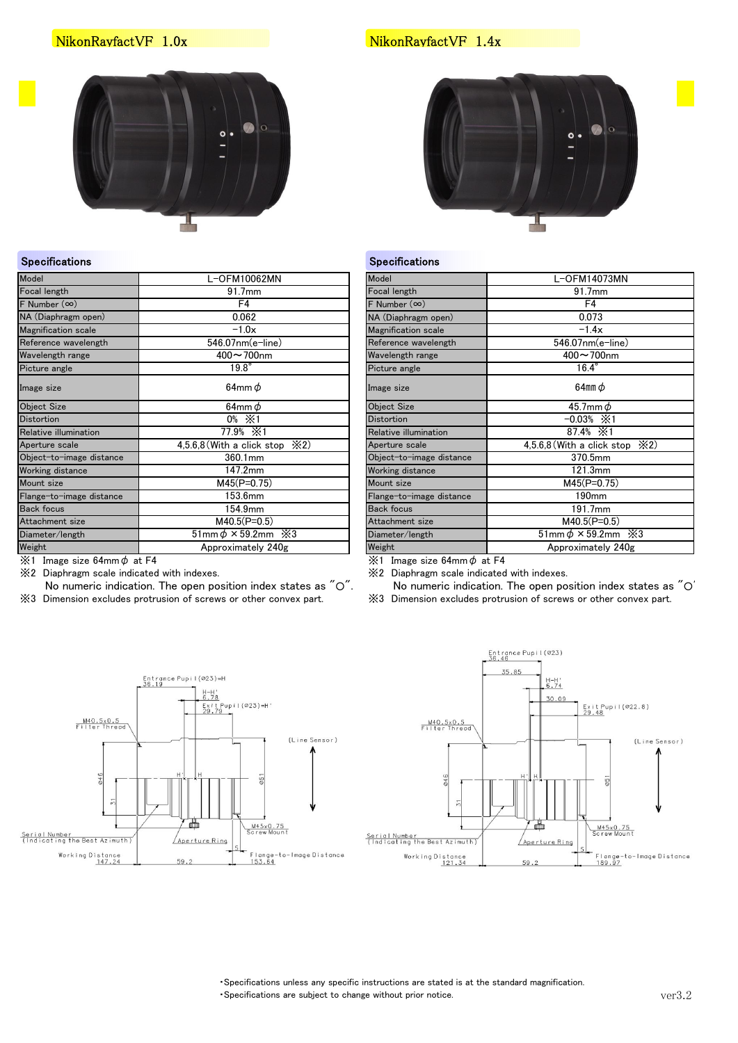

### Specifications **Specifications** Specifications **Specifications**

| Model                      | -OFM10062MN                                    | Model                      | L-OFM14073MN                            |  |
|----------------------------|------------------------------------------------|----------------------------|-----------------------------------------|--|
| Focal length               | 91.7mm                                         | Focal length               | 91.7mm                                  |  |
| F Number $(\infty)$        | F4                                             | $F$ Number $(\infty)$      | F <sub>4</sub>                          |  |
| NA (Diaphragm open)        | 0.062                                          | NA (Diaphragm open)        | 0.073                                   |  |
| <b>Magnification scale</b> | $-1.0x$                                        | <b>Magnification scale</b> | $-1.4x$                                 |  |
| Reference wavelength       | 546.07nm(e-line)                               | Reference wavelength       | 546.07nm(e-line)                        |  |
| Wavelength range           | $400 - 700$ nm                                 | Wavelength range           | $400 - 700$ nm                          |  |
| Picture angle              | $19.8^\circ$                                   | Picture angle              | $16.4^\circ$                            |  |
| Image size                 | 64mm $\phi$                                    | Image size                 | 64mm $\phi$                             |  |
| <b>Object Size</b>         | 64mm $\phi$                                    | <b>Object Size</b>         | $45.7$ mm $\phi$                        |  |
| <b>Distortion</b>          | 0% $\times 1$                                  | <b>Distortion</b>          | $-0.03% \times 1$                       |  |
| Relative illumination      | 77.9% $\overline{\times}1$                     | Relative illumination      | 87.4% $×1$                              |  |
| Aperture scale             | 4,5.6,8 (With a click stop $\divideontimes$ 2) | Aperture scale             | 4,5.6,8 (With a click stop $\angle 2$ ) |  |
| Object-to-image distance   | 360.1mm                                        | Object-to-image distance   | 370.5mm                                 |  |
| Working distance           | 147.2mm                                        | Working distance           | 121.3mm                                 |  |
| Mount size                 | $M45(P=0.75)$                                  | Mount size                 | $M45(P=0.75)$                           |  |
| Flange-to-image distance   | 153.6mm                                        | Flange-to-image distance   | 190 <sub>mm</sub>                       |  |
| <b>Back focus</b>          | 154.9mm                                        | <b>Back focus</b>          | 191.7mm                                 |  |
| Attachment size            | $M40.5(P=0.5)$                                 | Attachment size            | $M40.5(P=0.5)$                          |  |
| Diameter/length            | $51mm\phi \times 59.2mm \times 3$              | Diameter/length            | $51mm\phi \times 59.2mm\%$              |  |
| Weight                     | Approximately 240g                             | Weight                     | Approximately 240g                      |  |

※2 Diaphragm scale indicated with indexes. ※2 Diaphragm scale indicated with indexes.

- 
- ※3 Dimension excludes protrusion of screws or other convex part. ※3 Dimension excludes protrusion of screws or other convex part.

## NikonRayfactVF 1.0x NikonRayfactVF 1.4x



| M10062MN                   | Model                      | L-OFM14073MN                                            |
|----------------------------|----------------------------|---------------------------------------------------------|
| 31.7mm                     | Focal length               | 91.7mm                                                  |
| F4                         | F Number $(\infty)$        | F4                                                      |
| 0.062                      | NA (Diaphragm open)        | 0.073                                                   |
| $-1.0x$                    | <b>Magnification scale</b> | $-1.4x$                                                 |
| l7nm(e−line)               | Reference wavelength       | 546.07nm(e-line)                                        |
| $\sim$ 700nm               | Wavelength range           | $400 - 700$ nm                                          |
| $19.8^\circ$               | Picture angle              | $16.4^\circ$                                            |
| i4mm $\phi$                | Image size                 | $64$ mm $\phi$                                          |
| $\overline{4}$ mm $\phi$   | <b>Object Size</b>         | 45.7mm $\phi$                                           |
| 0% X1                      | <b>Distortion</b>          | $-0.03% \times 1$                                       |
| $.9% \times 1$             | Relative illumination      | $87.4\% \times 1$                                       |
| a click stop $\angle 2$ )  | Aperture scale             | 4,5.6,8 (With a click stop $\divideontimes$ 2)          |
| 60.1mm                     | Object-to-image distance   | 370.5mm                                                 |
| 47.2mm                     | Working distance           | 121.3mm                                                 |
| $5(P=0.75)$                | Mount size                 | $M45(P=0.75)$                                           |
| 53.6mm                     | Flange-to-image distance   | 190 <sub>mm</sub>                                       |
| 54.9mm                     | <b>Back focus</b>          | 191.7mm                                                 |
| $0.5(P=0.5)$               | Attachment size            | $M40.5(P=0.5)$                                          |
| $\times$ 59.2mm $\times$ 3 | Diameter/length            | $51$ mm $\phi \times 59.2$ mm $\cdot$ $\cdot$ $\cdot$ 3 |
| simately 240g              | Weight                     | Approximately 240g                                      |
|                            |                            | $ \cdot$                                                |

 $\frac{1}{2}$  M Image size 64mm  $\phi$  at F4 **EXAL 10** image size 64mm  $\phi$  at F4

- No numeric indication. The open position index states as "O". No numeric indication. The open position index states as "O"
	-





・Specifications unless any specific instructions are stated is at the standard magnification.

• Specifications are subject to change without prior notice.  $ver3.2$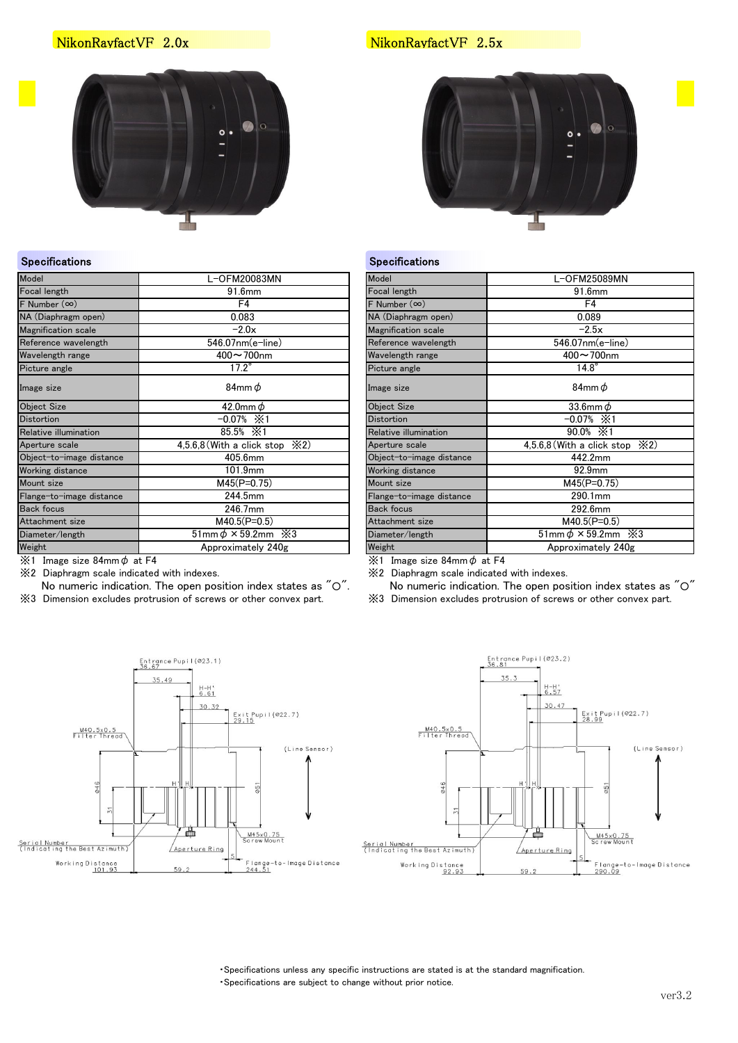## NikonRayfactVF 2.0x NikonRayfactVF 2.5x



| Model                      | L-OFM20083MN                            | Model                      | L-OFM25089MN                                  |  |
|----------------------------|-----------------------------------------|----------------------------|-----------------------------------------------|--|
| Focal length               | 91.6mm                                  | Focal length               | 91.6mm                                        |  |
| F Number $(\infty)$        | F <sub>4</sub>                          | $F$ Number $(\infty)$      | F4                                            |  |
| NA (Diaphragm open)        | 0.083                                   | NA (Diaphragm open)        | 0.089                                         |  |
| <b>Magnification scale</b> | $-2.0x$                                 | <b>Magnification scale</b> | $-2.5x$                                       |  |
| Reference wavelength       | 546.07nm(e-line)                        | Reference wavelength       | 546.07nm(e-line)                              |  |
| Wavelength range           | $400 - 700$ nm                          | Wavelength range           | $400 - 700$ nm                                |  |
| Picture angle              | $17.2^\circ$                            | Picture angle              | $14.8^\circ$                                  |  |
| Image size                 | 84mm $\phi$                             | Image size                 | 84mm $\phi$                                   |  |
| Object Size                | 42.0mm $\phi$                           | <b>Object Size</b>         | $33.6$ mm $\phi$                              |  |
| <b>Distortion</b>          | $-0.07% \times 1$                       | <b>Distortion</b>          | $-0.07%$ $\times 1$                           |  |
| Relative illumination      | 85.5% $\times$ 1                        | Relative illumination      | 90.0% $\mathbb{X}1$                           |  |
| Aperture scale             | 4,5.6,8 (With a click stop $\angle 2$ ) | Aperture scale             | 4,5.6,8 (With a click stop $\angle 2$ )       |  |
| Object-to-image distance   | 405.6mm                                 | Object-to-image distance   | 442.2mm                                       |  |
| Working distance           | 101.9mm                                 | Working distance           | 92.9mm                                        |  |
| Mount size                 | $M45(P=0.75)$                           | Mount size                 | $M45(P=0.75)$                                 |  |
| Flange-to-image distance   | 244.5mm                                 | Flange-to-image distance   | 290.1mm                                       |  |
| <b>Back focus</b>          | 246.7mm                                 | <b>Back focus</b>          | 292.6mm                                       |  |
| Attachment size            | $M40.5(P=0.5)$                          | Attachment size            | $M40.5(P=0.5)$                                |  |
| Diameter/length            | $51mm\phi \times 59.2mm \times 3$       | Diameter/length            | $\overline{51mm} \phi \times 59.2mm \times 3$ |  |
| Weight                     | Approximately 240g                      | Weight                     | Approximately 240g                            |  |
|                            |                                         |                            |                                               |  |

※2 Diaphragm scale indicated with indexes. ※2 Diaphragm scale indicated with indexes.

No numeric indication. The open position index states as "O". No numeric indication. The open position index states as "O"

※3 Dimension excludes protrusion of screws or other convex part. ※3 Dimension excludes protrusion of screws or other convex part.





### Specifications **Specifications** Specifications **Specifications**

| Model                    | L-OFM25089MN                                     |  |  |
|--------------------------|--------------------------------------------------|--|--|
| Focal length             | 91.6mm                                           |  |  |
| $F$ Number $(\infty)$    | F4                                               |  |  |
| NA (Diaphragm open)      | 0.089                                            |  |  |
| Magnification scale      | $-2.5x$                                          |  |  |
| Reference wavelength     | 546.07nm(e-line)                                 |  |  |
| Wavelength range         | $400 - 700$ nm                                   |  |  |
| Picture angle            | $14.8^\circ$                                     |  |  |
| Image size               | 84mm $\phi$                                      |  |  |
| <b>Object Size</b>       | 33.6mm $\phi$                                    |  |  |
| Distortion               | $-0.07%$ $\times 1$                              |  |  |
| Relative illumination    | $90.0\% \times 1$                                |  |  |
| Aperture scale           | $4,5.6,8$ (With a click stop $\divideontimes$ 2) |  |  |
| Object-to-image distance | 442.2mm                                          |  |  |
| Working distance         | 92.9mm                                           |  |  |
| Mount size               | $M45(P=0.75)$                                    |  |  |
| Flange-to-image distance | 290.1mm                                          |  |  |
| <b>Back focus</b>        | 292.6mm                                          |  |  |
| Attachment size          | $M40.5(P=0.5)$                                   |  |  |
| Diameter/length          | $51$ mm $\phi \times 59.2$ mm<br>X3:             |  |  |
| Weight                   | Approximately 240g                               |  |  |
|                          |                                                  |  |  |

 $\frac{3}{2}$  1 Image size 84mm  $\phi$  at F4 **EXALL EXALL**   $\frac{3}{2}$  **EXALL**   $\frac{3}{2}$  **EXALL**   $\frac{3}{2}$  **EXALL**   $\frac{3}{2}$  **EXALL**   $\frac{3}{2}$  **EXALL**   $\frac{3}{2}$  **EXALL**   $\frac{3}{2}$  **EXALL**   $\frac{3}{2}$  **EXALL**   $\frac{3}{2}$  **EX** 



・Specifications unless any specific instructions are stated is at the standard magnification.

・Specifications are subject to change without prior notice.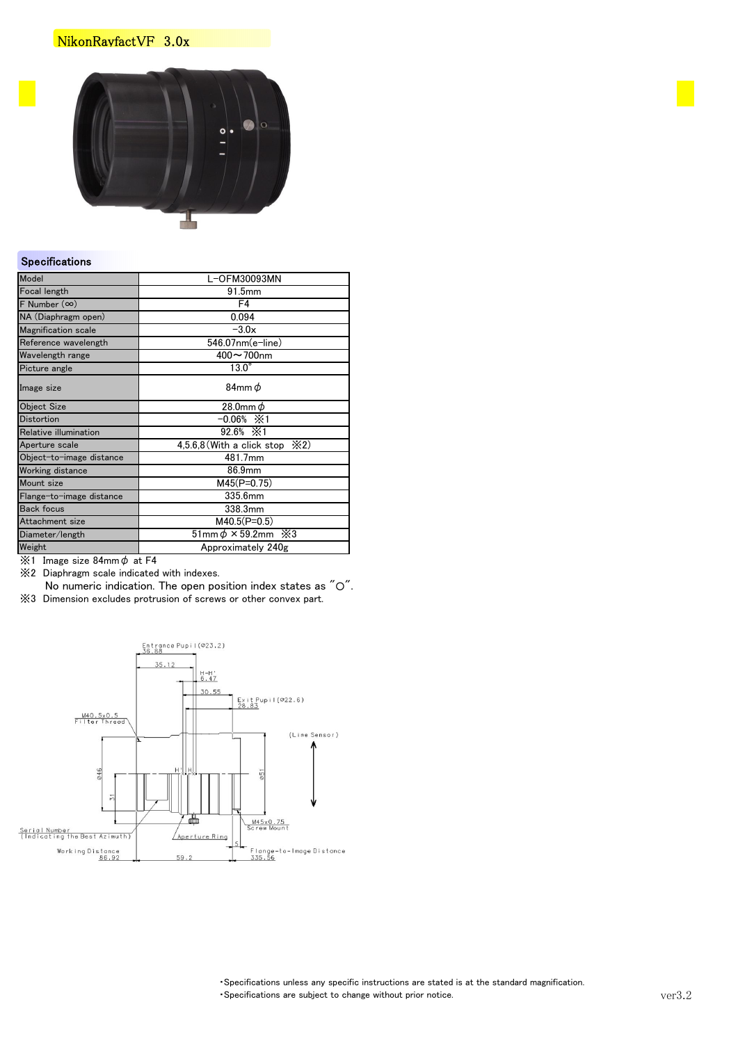# NikonRayfactVF 3.0x



### **Specifications**

| Model                      | L-OFM30093MN                                |
|----------------------------|---------------------------------------------|
| Focal length               | 91.5mm                                      |
| F Number $(\infty)$        | F4                                          |
| NA (Diaphragm open)        | 0.094                                       |
| <b>Magnification scale</b> | $-3.0x$                                     |
| Reference wavelength       | 546.07nm(e-line)                            |
| Wavelength range           | $400 - 700$ nm                              |
| Picture angle              | $13.0^\circ$                                |
| Image size                 | 84mm $\phi$                                 |
| <b>Object Size</b>         | 28.0mm $\phi$                               |
| <b>Distortion</b>          | $-0.06%$ $\div 1$                           |
| Relative illumination      | $92.6\% \times 1$                           |
| Aperture scale             | $4.5.6.8$ (With a click stop $\angle 2$ )   |
| Object-to-image distance   | 481.7mm                                     |
| Working distance           | 86.9mm                                      |
| Mount size                 | $M45(P=0.75)$                               |
| Flange-to-image distance   | 335.6mm                                     |
| <b>Back focus</b>          | 338.3mm                                     |
| Attachment size            | $M40.5(P=0.5)$                              |
| Diameter/length            | $51$ mm $\phi \times 59.2$ mm<br>$\times 3$ |
| Weight                     | Approximately 240g                          |

 $%1$  Image size 84mm  $\phi$  at F4

※2 Diaphragm scale indicated with indexes.

No numeric indication. The open position index states as "○".

※3 Dimension excludes protrusion of screws or other convex part.



・Specifications unless any specific instructions are stated is at the standard magnification.